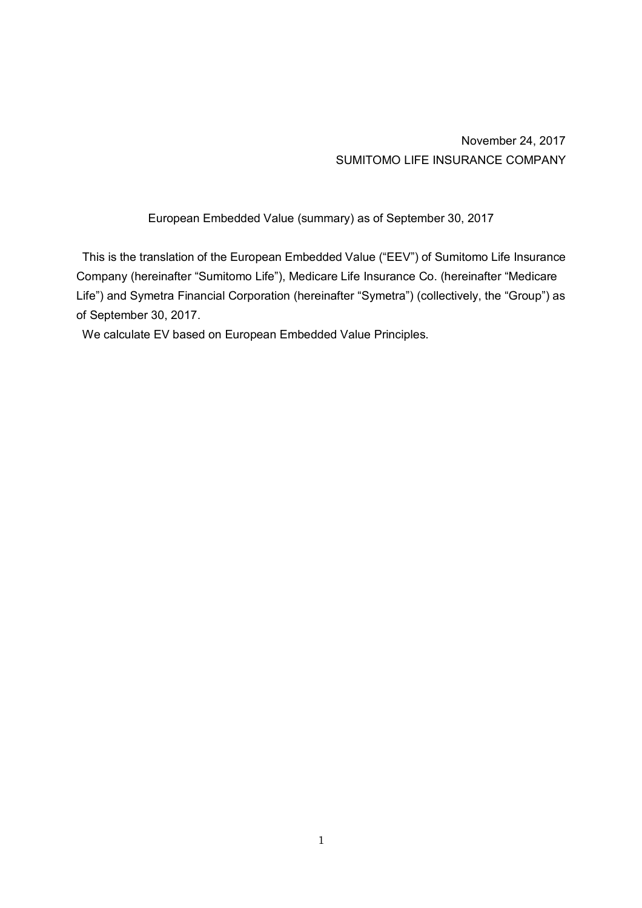November 24, 2017 SUMITOMO LIFE INSURANCE COMPANY

European Embedded Value (summary) as of September 30, 2017

This is the translation of the European Embedded Value ("EEV") of Sumitomo Life Insurance Company (hereinafter "Sumitomo Life"), Medicare Life Insurance Co. (hereinafter "Medicare Life") and Symetra Financial Corporation (hereinafter "Symetra") (collectively, the "Group") as of September 30, 2017.

We calculate EV based on European Embedded Value Principles.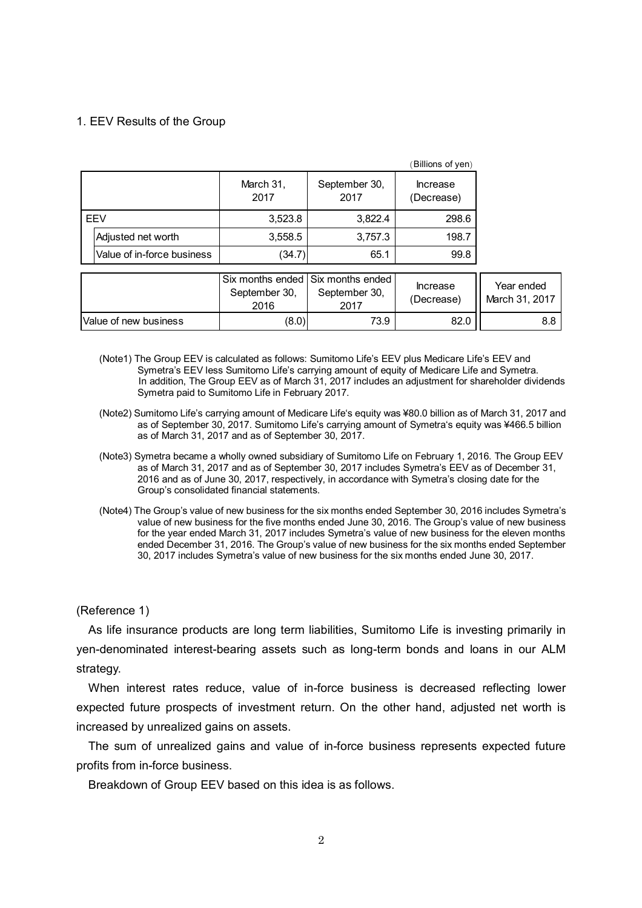### 1. EEV Results of the Group

|                            |                   |                       | (Billions of yen)      |
|----------------------------|-------------------|-----------------------|------------------------|
|                            | March 31,<br>2017 | September 30,<br>2017 | Increase<br>(Decrease) |
| EEV                        | 3,523.8           | 3,822.4               | 298.6                  |
| Adjusted net worth         | 3,558.5           | 3,757.3               | 198.7                  |
| Value of in-force business | (34.7             | 65.1                  | 99.8                   |

|                       | September 30.<br>2016 | I Six months ended I Six months ended I<br>September 30.<br>2017 | <b>Increase</b><br>(Decrease) | Year ended<br>March 31, 2017 |
|-----------------------|-----------------------|------------------------------------------------------------------|-------------------------------|------------------------------|
| Value of new business | (8.0)                 | 73.9                                                             | 82.0                          | 8.8 l                        |

- (Note1) The Group EEV is calculated as follows: Sumitomo Life's EEV plus Medicare Life's EEV and Symetra's EEV less Sumitomo Life's carrying amount of equity of Medicare Life and Symetra. In addition, The Group EEV as of March 31, 2017 includes an adjustment for shareholder dividends Symetra paid to Sumitomo Life in February 2017.
- (Note2) Sumitomo Life's carrying amount of Medicare Life's equity was ¥80.0 billion as of March 31, 2017 and as of September 30, 2017. Sumitomo Life's carrying amount of Symetra's equity was ¥466.5 billion as of March 31, 2017 and as of September 30, 2017.
- (Note3) Symetra became a wholly owned subsidiary of Sumitomo Life on February 1, 2016. The Group EEV as of March 31, 2017 and as of September 30, 2017 includes Symetra's EEV as of December 31, 2016 and as of June 30, 2017, respectively, in accordance with Symetra's closing date for the Group's consolidated financial statements.
- (Note4) The Group's value of new business for the six months ended September 30, 2016 includes Symetra's value of new business for the five months ended June 30, 2016. The Group's value of new business for the year ended March 31, 2017 includes Symetra's value of new business for the eleven months ended December 31, 2016. The Group's value of new business for the six months ended September 30, 2017 includes Symetra's value of new business for the six months ended June 30, 2017.

### (Reference 1)

As life insurance products are long term liabilities, Sumitomo Life is investing primarily in yen-denominated interest-bearing assets such as long-term bonds and loans in our ALM strategy.

When interest rates reduce, value of in-force business is decreased reflecting lower expected future prospects of investment return. On the other hand, adjusted net worth is increased by unrealized gains on assets.

The sum of unrealized gains and value of in-force business represents expected future profits from in-force business.

Breakdown of Group EEV based on this idea is as follows.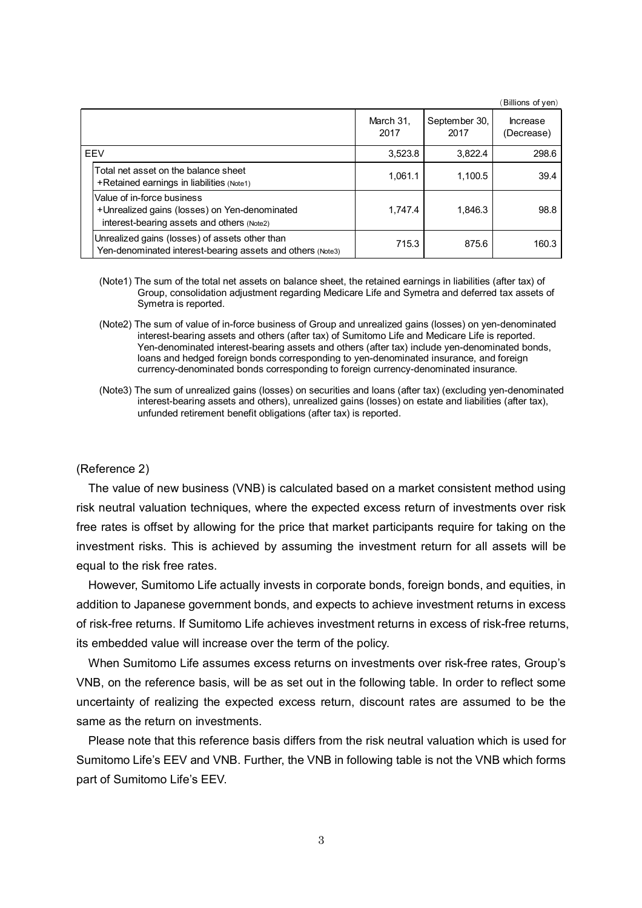|            |                                                                                                                           |                   |                       | Billions of yen)              |
|------------|---------------------------------------------------------------------------------------------------------------------------|-------------------|-----------------------|-------------------------------|
|            |                                                                                                                           | March 31.<br>2017 | September 30,<br>2017 | <b>Increase</b><br>(Decrease) |
| <b>FFV</b> |                                                                                                                           | 3,523.8           | 3.822.4               | 298.6                         |
|            | Total net asset on the balance sheet<br>+Retained earnings in liabilities (Note1)                                         | 1.061.1           | 1.100.5               | 39.4                          |
|            | Value of in-force business<br>+Unrealized gains (losses) on Yen-denominated<br>interest-bearing assets and others (Note2) | 1,747.4           | 1,846.3               | 98.8                          |
|            | Unrealized gains (losses) of assets other than<br>Yen-denominated interest-bearing assets and others (Note3)              | 715.3             | 875.6                 | 160.3                         |

- (Note1) The sum of the total net assets on balance sheet, the retained earnings in liabilities (after tax) of Group, consolidation adjustment regarding Medicare Life and Symetra and deferred tax assets of Symetra is reported.
- (Note2) The sum of value of in-force business of Group and unrealized gains (losses) on yen-denominated interest-bearing assets and others (after tax) of Sumitomo Life and Medicare Life is reported. Yen-denominated interest-bearing assets and others (after tax) include yen-denominated bonds, loans and hedged foreign bonds corresponding to yen-denominated insurance, and foreign currency-denominated bonds corresponding to foreign currency-denominated insurance.
- (Note3) The sum of unrealized gains (losses) on securities and loans (after tax) (excluding yen-denominated interest-bearing assets and others), unrealized gains (losses) on estate and liabilities (after tax), unfunded retirement benefit obligations (after tax) is reported.

#### (Reference 2)

The value of new business (VNB) is calculated based on a market consistent method using risk neutral valuation techniques, where the expected excess return of investments over risk free rates is offset by allowing for the price that market participants require for taking on the investment risks. This is achieved by assuming the investment return for all assets will be equal to the risk free rates.

However, Sumitomo Life actually invests in corporate bonds, foreign bonds, and equities, in addition to Japanese government bonds, and expects to achieve investment returns in excess of risk-free returns. If Sumitomo Life achieves investment returns in excess of risk-free returns, its embedded value will increase over the term of the policy.

When Sumitomo Life assumes excess returns on investments over risk-free rates, Group's VNB, on the reference basis, will be as set out in the following table. In order to reflect some uncertainty of realizing the expected excess return, discount rates are assumed to be the same as the return on investments.

Please note that this reference basis differs from the risk neutral valuation which is used for Sumitomo Life's EEV and VNB. Further, the VNB in following table is not the VNB which forms part of Sumitomo Life's EEV.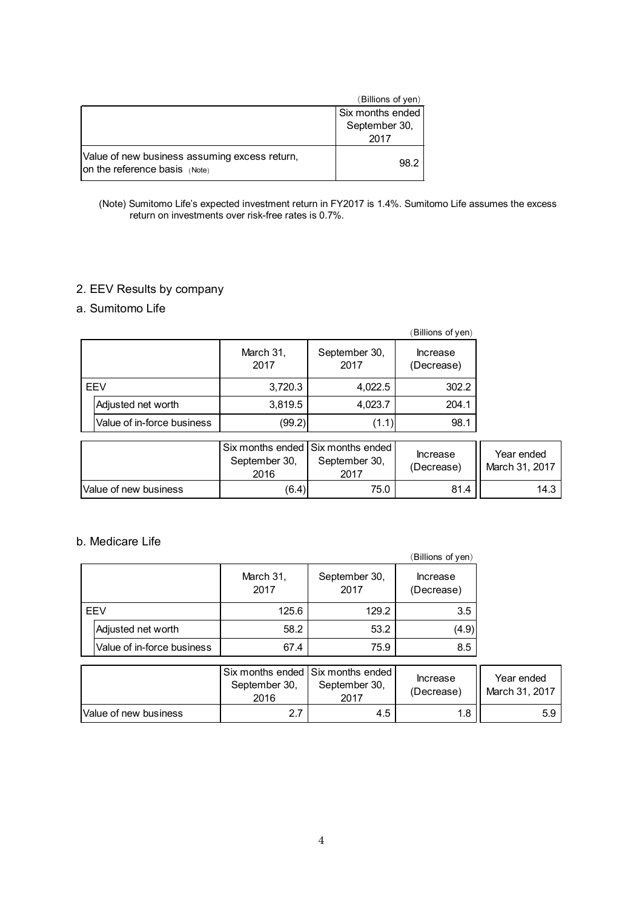|                                                                                | (Billions of yen) |
|--------------------------------------------------------------------------------|-------------------|
|                                                                                | Six months ended  |
|                                                                                | September 30,     |
|                                                                                | 2017              |
| Value of new business assuming excess return,<br>on the reference basis (Note) | 98.2              |

#### (Note) Sumitomo Life's expected investment return in FY2017 is 1.4%. Sumitomo Life assumes the excess return on investments over risk-free rates is 0.7%.

# 2. EEV Results by company

# a. Sumitomo Life

|            |                            |                   |                       | (Billions of yen)      |
|------------|----------------------------|-------------------|-----------------------|------------------------|
|            |                            | March 31,<br>2017 | September 30,<br>2017 | Increase<br>(Decrease) |
| <b>FFV</b> |                            | 3,720.3           | 4,022.5               | 302.2                  |
|            | Adjusted net worth         | 3,819.5           | 4,023.7               | 204.1                  |
|            | Value of in-force business | (99.2)            | (1.1)                 | 98.1                   |

|                        | September 30,<br>2016 | l Six months ended l Six months ended l<br>September 30,<br>2017 | <b>Increase</b><br>(Decrease) | Year ended<br>March 31, 2017 |
|------------------------|-----------------------|------------------------------------------------------------------|-------------------------------|------------------------------|
| lValue of new business | (6.4)                 | 75.0                                                             | 81.4                          | 14.3                         |

# b. Medicare Life

|     |                            |                   |                       | (Billions of yen)      |
|-----|----------------------------|-------------------|-----------------------|------------------------|
|     |                            | March 31,<br>2017 | September 30,<br>2017 | Increase<br>(Decrease) |
| EEV |                            | 125.6             | 129.2                 | 3.5                    |
|     | Adjusted net worth         | 58.2              | 53.2                  | (4.9)                  |
|     | Value of in-force business | 67.4              | 75.9                  | 8.5                    |

|                       | September 30,<br>2016 | l Six months ended I Six months ended I<br>September 30,<br>2017 | Increase<br>(Decrease) | Year ended<br>March 31, 2017 |
|-----------------------|-----------------------|------------------------------------------------------------------|------------------------|------------------------------|
| Value of new business | 7 ל                   | 4.5                                                              | 1.8                    | 5.9                          |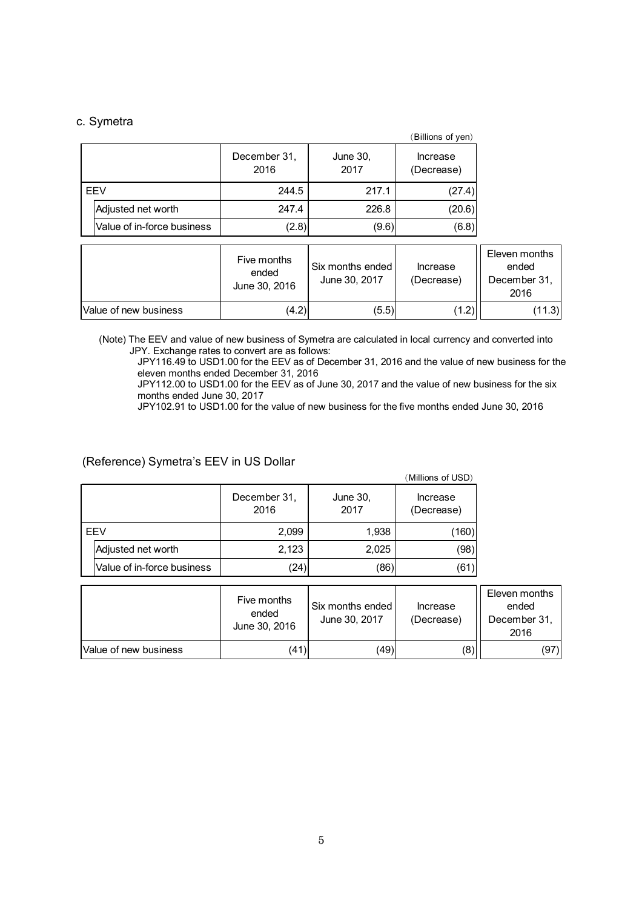### c. Symetra

|     |                            |                      |                  | (Billions of yen)      |
|-----|----------------------------|----------------------|------------------|------------------------|
|     |                            | December 31,<br>2016 | June 30,<br>2017 | Increase<br>(Decrease) |
| EEV |                            | 244.5                | 217.1            | (27.4)                 |
|     | Adjusted net worth         | 247.4                | 226.8            | (20.6)                 |
|     | Value of in-force business | (2.8)                | (9.6)            | (6.8)                  |

|                       | Five months<br>ended<br>June 30, 2016 | Six months ended<br>June 30, 2017 | Increase<br>(Decrease) | Eleven months<br>ended<br>December 31,<br>2016 |
|-----------------------|---------------------------------------|-----------------------------------|------------------------|------------------------------------------------|
| Value of new business | (4.2)                                 | (5.5)                             | (1.2)                  | (11.3)                                         |

(Note) The EEV and value of new business of Symetra are calculated in local currency and converted into JPY. Exchange rates to convert are as follows:

JPY116.49 to USD1.00 for the EEV as of December 31, 2016 and the value of new business for the eleven months ended December 31, 2016

JPY112.00 to USD1.00 for the EEV as of June 30, 2017 and the value of new business for the six months ended June 30, 2017

JPY102.91 to USD1.00 for the value of new business for the five months ended June 30, 2016

## (Reference) Symetra's EEV in US Dollar

|     |                            |                      |                  | (Millions of USD)      |
|-----|----------------------------|----------------------|------------------|------------------------|
|     |                            | December 31,<br>2016 | June 30,<br>2017 | Increase<br>(Decrease) |
| EEV |                            | 2,099                | 1,938            | (160)                  |
|     | Adjusted net worth         | 2,123                | 2,025            | (98)                   |
|     | Value of in-force business | (24)                 | (86)             | (61)                   |

|                        | Five months<br>ended<br>June 30, 2016 | Six months ended<br>June 30, 2017 | Increase<br>(Decrease) | Eleven months<br>ended<br>December 31.<br>2016 |
|------------------------|---------------------------------------|-----------------------------------|------------------------|------------------------------------------------|
| lValue of new business | (41)                                  | (49)                              | (8)                    | (97)                                           |